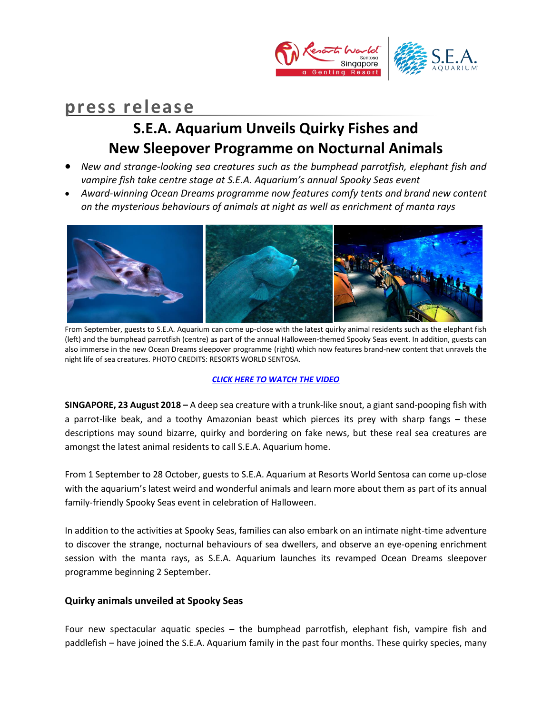

# **press release**

## **S.E.A. Aquarium Unveils Quirky Fishes and New Sleepover Programme on Nocturnal Animals**

- *New and strange-looking sea creatures such as the bumphead parrotfish, elephant fish and vampire fish take centre stage at S.E.A. Aquarium's annual Spooky Seas event*
- *Award-winning Ocean Dreams programme now features comfy tents and brand new content on the mysterious behaviours of animals at night as well as enrichment of manta rays*



From September, guests to S.E.A. Aquarium can come up-close with the latest quirky animal residents such as the elephant fish (left) and the bumphead parrotfish (centre) as part of the annual Halloween-themed Spooky Seas event. In addition, guests can also immerse in the new Ocean Dreams sleepover programme (right) which now features brand-new content that unravels the night life of sea creatures. PHOTO CREDITS: RESORTS WORLD SENTOSA.

### *[CLICK HERE TO WATCH](https://youtu.be/tYELPsDAllU) THE VIDEO*

**SINGAPORE, 23 August 2018 –** A deep sea creature with a trunk-like snout, a giant sand-pooping fish with a parrot-like beak, and a toothy Amazonian beast which pierces its prey with sharp fangs **–** these descriptions may sound bizarre, quirky and bordering on fake news, but these real sea creatures are amongst the latest animal residents to call S.E.A. Aquarium home.

From 1 September to 28 October, guests to S.E.A. Aquarium at Resorts World Sentosa can come up-close with the aquarium's latest weird and wonderful animals and learn more about them as part of its annual family-friendly Spooky Seas event in celebration of Halloween.

In addition to the activities at Spooky Seas, families can also embark on an intimate night-time adventure to discover the strange, nocturnal behaviours of sea dwellers, and observe an eye-opening enrichment session with the manta rays, as S.E.A. Aquarium launches its revamped Ocean Dreams sleepover programme beginning 2 September.

### **Quirky animals unveiled at Spooky Seas**

Four new spectacular aquatic species – the bumphead parrotfish, elephant fish, vampire fish and paddlefish – have joined the S.E.A. Aquarium family in the past four months. These quirky species, many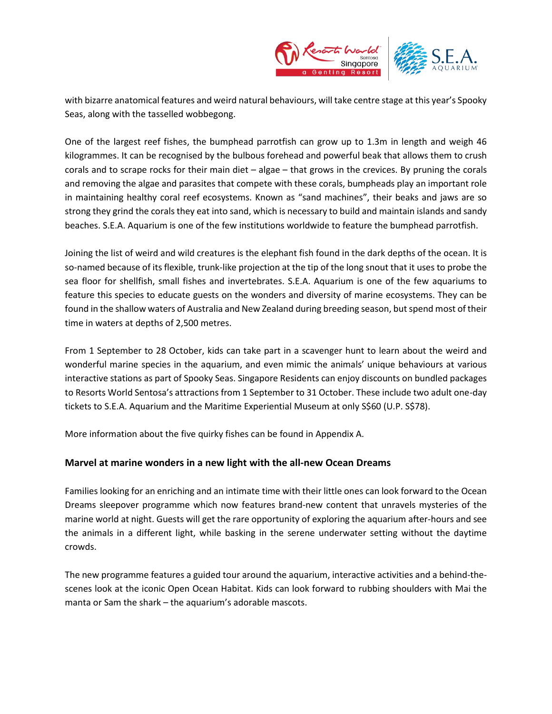

with bizarre anatomical features and weird natural behaviours, will take centre stage at this year's Spooky Seas, along with the tasselled wobbegong.

One of the largest reef fishes, the bumphead parrotfish can grow up to 1.3m in length and weigh 46 kilogrammes. It can be recognised by the bulbous forehead and powerful beak that allows them to crush corals and to scrape rocks for their main diet – algae – that grows in the crevices. By pruning the corals and removing the algae and parasites that compete with these corals, bumpheads play an important role in maintaining healthy coral reef ecosystems. Known as "sand machines", their beaks and jaws are so strong they grind the corals they eat into sand, which is necessary to build and maintain islands and sandy beaches. S.E.A. Aquarium is one of the few institutions worldwide to feature the bumphead parrotfish.

Joining the list of weird and wild creatures is the elephant fish found in the dark depths of the ocean. It is so-named because of its flexible, trunk-like projection at the tip of the long snout that it uses to probe the sea floor for shellfish, small fishes and invertebrates. S.E.A. Aquarium is one of the few aquariums to feature this species to educate guests on the wonders and diversity of marine ecosystems. They can be found in the shallow waters of Australia and New Zealand during breeding season, but spend most of their time in waters at depths of 2,500 metres.

From 1 September to 28 October, kids can take part in a scavenger hunt to learn about the weird and wonderful marine species in the aquarium, and even mimic the animals' unique behaviours at various interactive stations as part of Spooky Seas. Singapore Residents can enjoy discounts on bundled packages to Resorts World Sentosa's attractions from 1 September to 31 October. These include two adult one-day tickets to S.E.A. Aquarium and the Maritime Experiential Museum at only S\$60 (U.P. S\$78).

More information about the five quirky fishes can be found in Appendix A.

## **Marvel at marine wonders in a new light with the all-new Ocean Dreams**

Families looking for an enriching and an intimate time with their little ones can look forward to the Ocean Dreams sleepover programme which now features brand-new content that unravels mysteries of the marine world at night. Guests will get the rare opportunity of exploring the aquarium after-hours and see the animals in a different light, while basking in the serene underwater setting without the daytime crowds.

The new programme features a guided tour around the aquarium, interactive activities and a behind-thescenes look at the iconic Open Ocean Habitat. Kids can look forward to rubbing shoulders with Mai the manta or Sam the shark – the aquarium's adorable mascots.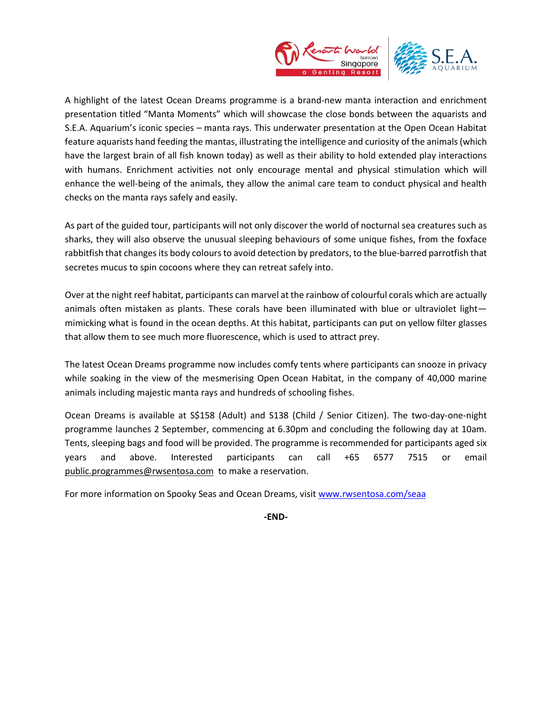

A highlight of the latest Ocean Dreams programme is a brand-new manta interaction and enrichment presentation titled "Manta Moments" which will showcase the close bonds between the aquarists and S.E.A. Aquarium's iconic species – manta rays. This underwater presentation at the Open Ocean Habitat feature aquarists hand feeding the mantas, illustrating the intelligence and curiosity of the animals (which have the largest brain of all fish known today) as well as their ability to hold extended play interactions with humans. Enrichment activities not only encourage mental and physical stimulation which will enhance the well-being of the animals, they allow the animal care team to conduct physical and health checks on the manta rays safely and easily.

As part of the guided tour, participants will not only discover the world of nocturnal sea creatures such as sharks, they will also observe the unusual sleeping behaviours of some unique fishes, from the foxface rabbitfish that changes its body colours to avoid detection by predators, to the blue-barred parrotfish that secretes mucus to spin cocoons where they can retreat safely into.

Over at the night reef habitat, participants can marvel at the rainbow of colourful corals which are actually animals often mistaken as plants. These corals have been illuminated with blue or ultraviolet light mimicking what is found in the ocean depths. At this habitat, participants can put on yellow filter glasses that allow them to see much more fluorescence, which is used to attract prey.

The latest Ocean Dreams programme now includes comfy tents where participants can snooze in privacy while soaking in the view of the mesmerising Open Ocean Habitat, in the company of 40,000 marine animals including majestic manta rays and hundreds of schooling fishes.

Ocean Dreams is available at S\$158 (Adult) and S138 (Child / Senior Citizen). The two-day-one-night programme launches 2 September, commencing at 6.30pm and concluding the following day at 10am. Tents, sleeping bags and food will be provided. The programme is recommended for participants aged six years and above. Interested participants can call +65 6577 7515 or email [public.programmes@rwsentosa.com](mailto:public.programmes@rwsentosa.com) to make a reservation.

For more information on Spooky Seas and Ocean Dreams, visit [www.rwsentosa.com/seaa](http://www.rwsentosa.com/seaa)

**-END-**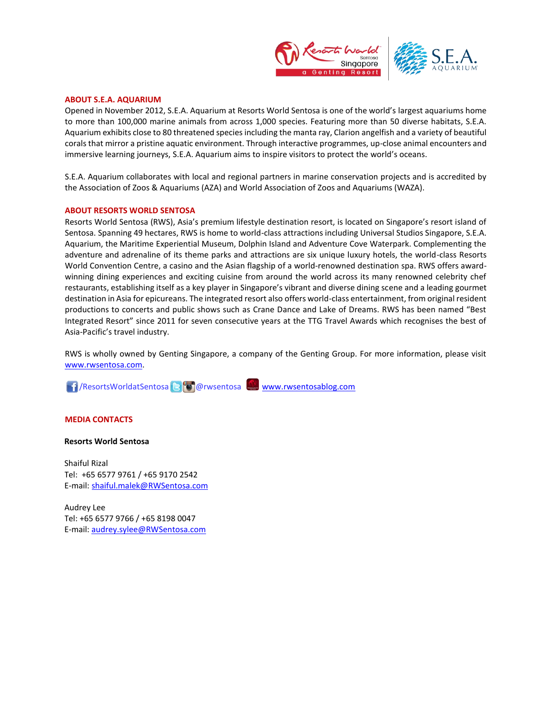

#### **ABOUT S.E.A. AQUARIUM**

Opened in November 2012, S.E.A. Aquarium at Resorts World Sentosa is one of the world's largest aquariums home to more than 100,000 marine animals from across 1,000 species. Featuring more than 50 diverse habitats, S.E.A. Aquarium exhibits close to 80 threatened species including the manta ray, Clarion angelfish and a variety of beautiful corals that mirror a pristine aquatic environment. Through interactive programmes, up-close animal encounters and immersive learning journeys, S.E.A. Aquarium aims to inspire visitors to protect the world's oceans.

S.E.A. Aquarium collaborates with local and regional partners in marine conservation projects and is accredited by the Association of Zoos & Aquariums (AZA) and World Association of Zoos and Aquariums (WAZA).

#### **ABOUT RESORTS WORLD SENTOSA**

Resorts World Sentosa (RWS), Asia's premium lifestyle destination resort, is located on Singapore's resort island of Sentosa. Spanning 49 hectares, RWS is home to world-class attractions including Universal Studios Singapore, S.E.A. Aquarium, the Maritime Experiential Museum, Dolphin Island and Adventure Cove Waterpark. Complementing the adventure and adrenaline of its theme parks and attractions are six unique luxury hotels, the world-class Resorts World Convention Centre, a casino and the Asian flagship of a world-renowned destination spa. RWS offers awardwinning dining experiences and exciting cuisine from around the world across its many renowned celebrity chef restaurants, establishing itself as a key player in Singapore's vibrant and diverse dining scene and a leading gourmet destination in Asia for epicureans. The integrated resort also offers world-class entertainment, from original resident productions to concerts and public shows such as Crane Dance and Lake of Dreams. RWS has been named "Best Integrated Resort" since 2011 for seven consecutive years at the TTG Travel Awards which recognises the best of Asia-Pacific's travel industry.

RWS is wholly owned by Genting Singapore, a company of the Genting Group. For more information, please visit [www.rwsentosa.com.](http://www.rwsentosa.com/)

**1 / ResortsWorldatSentosa & @ @ rwsentosa [www.rwsentosablog.com](http://www.rwsentosablog.com/)** 

#### **MEDIA CONTACTS**

#### **Resorts World Sentosa**

Shaiful Rizal Tel: +65 6577 9761 / +65 9170 2542 E-mail[: shaiful.malek@RWSentosa.com](mailto:shaiful.malek@RWSentosa.com)

Audrey Lee Tel: +65 6577 9766 / +65 8198 0047 E-mail[: audrey.sylee@RWSentosa.com](mailto:audrey.sylee@RWSentosa.com)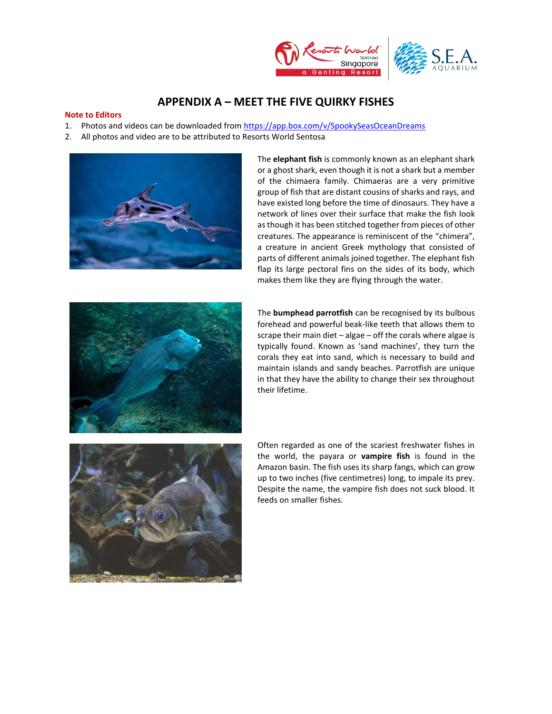

## **APPENDIX A – MEET THE FIVE QUIRKY FISHES**

#### **Note to Editors**

- 1. Photos and videos can be downloaded from <https://app.box.com/v/SpookySeasOceanDreams>
- 2. All photos and video are to be attributed to Resorts World Sentosa



The **elephant fish** is commonly known as an elephant shark or a ghost shark, even though it is not a shark but a member of the chimaera family. Chimaeras are a very primitive group of fish that are distant cousins of sharks and rays, and have existed long before the time of dinosaurs. They have a network of lines over their surface that make the fish look as though it has been stitched together from pieces of other creatures. The appearance is reminiscent of the "chimera", a creature in ancient Greek mythology that consisted of parts of different animals joined together. The elephant fish flap its large pectoral fins on the sides of its body, which makes them like they are flying through the water.



The **bumphead parrotfish** can be recognised by its bulbous forehead and powerful beak-like teeth that allows them to scrape their main diet – algae – off the corals where algae is typically found. Known as 'sand machines', they turn the corals they eat into sand, which is necessary to build and maintain islands and sandy beaches. Parrotfish are unique in that they have the ability to change their sex throughout their lifetime.



Often regarded as one of the scariest freshwater fishes in the world, the payara or **vampire fish** is found in the Amazon basin. The fish uses its sharp fangs, which can grow up to two inches (five centimetres) long, to impale its prey. Despite the name, the vampire fish does not suck blood. It feeds on smaller fishes.